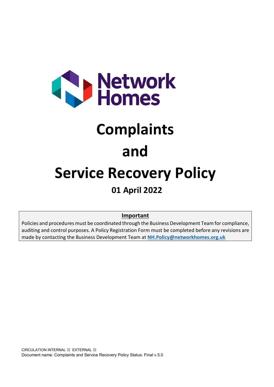

# **Complaints**

### **and**

## **Service Recovery Policy**

### **01 April 2022**

#### **Important**

Policies and procedures must be coordinated through the Business Development Team for compliance, auditing and control purposes. A Policy Registration Form must be completed before any revisions are made by contacting the Business Development Team at **[NH.Policy@networkhomes.org.uk](mailto:NH.Policy@networkhomes.org.uk)**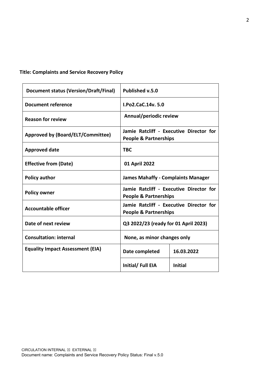#### **Title: Complaints and Service Recovery Policy**

| <b>Document status (Version/Draft/Final)</b> | Published v.5.0                                                             |                |  |
|----------------------------------------------|-----------------------------------------------------------------------------|----------------|--|
| Document reference                           | <b>LPo2.CaC.14v.5.0</b>                                                     |                |  |
| <b>Reason for review</b>                     | Annual/periodic review                                                      |                |  |
| <b>Approved by (Board/ELT/Committee)</b>     | Jamie Ratcliff - Executive Director for<br><b>People &amp; Partnerships</b> |                |  |
| <b>Approved date</b>                         | <b>TBC</b>                                                                  |                |  |
| <b>Effective from (Date)</b>                 | 01 April 2022                                                               |                |  |
| <b>Policy author</b>                         | <b>James Mahaffy - Complaints Manager</b>                                   |                |  |
| <b>Policy owner</b>                          | Jamie Ratcliff - Executive Director for<br><b>People &amp; Partnerships</b> |                |  |
| <b>Accountable officer</b>                   | Jamie Ratcliff - Executive Director for<br><b>People &amp; Partnerships</b> |                |  |
| Date of next review                          | Q3 2022/23 (ready for 01 April 2023)                                        |                |  |
| <b>Consultation: internal</b>                | None, as minor changes only                                                 |                |  |
| <b>Equality Impact Assessment (EIA)</b>      | Date completed                                                              | 16.03.2022     |  |
|                                              | Initial/Full EIA                                                            | <b>Initial</b> |  |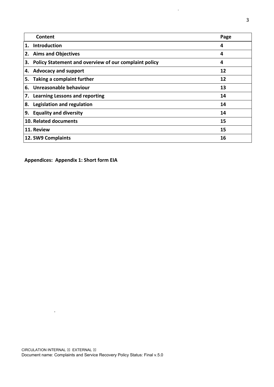|    | Content                                               | Page |
|----|-------------------------------------------------------|------|
| 1. | Introduction                                          | 4    |
|    | 2. Aims and Objectives                                | 4    |
| 3. | Policy Statement and overview of our complaint policy | 4    |
|    | 4. Advocacy and support                               | 12   |
| 5. | Taking a complaint further                            | 12   |
| 6. | Unreasonable behaviour                                | 13   |
|    | 7. Learning Lessons and reporting                     | 14   |
| 8. | Legislation and regulation                            | 14   |
| 9. | <b>Equality and diversity</b>                         | 14   |
|    | 10. Related documents                                 | 15   |
|    | 11. Review                                            | 15   |
|    | 12. SW9 Complaints                                    | 16   |

 $\hat{\mathbf{r}}$ 

**Appendices: Appendix 1: Short form EIA**

 $\ddot{\phantom{a}}$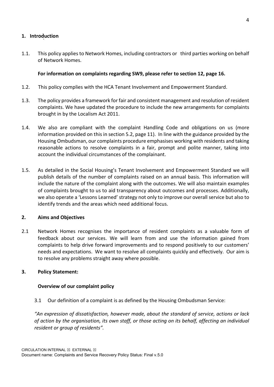#### **1. Introduction**

1.1. This policy applies to Network Homes, including contractors or third parties working on behalf of Network Homes.

#### **For information on complaints regarding SW9, please refer to section 12, page 16.**

- 1.2. This policy complies with the HCA Tenant Involvement and Empowerment Standard.
- 1.3. The policy provides a framework for fair and consistent management and resolution of resident complaints. We have updated the procedure to include the new arrangements for complaints brought in by the Localism Act 2011.
- 1.4. We also are compliant with the complaint Handling Code and obligations on us (more information provided on this in section 5.2, page 11). In line with the guidance provided by the Housing Ombudsman, our complaints procedure emphasises working with residents and taking reasonable actions to resolve complaints in a fair, prompt and polite manner, taking into account the individual circumstances of the complainant.
- 1.5. As detailed in the Social Housing's Tenant Involvement and Empowerment Standard we will publish details of the number of complaints raised on an annual basis. This information will include the nature of the complaint along with the outcomes. We will also maintain examples of complaints brought to us to aid transparency about outcomes and processes. Additionally, we also operate a 'Lessons Learned' strategy not only to improve our overall service but also to identify trends and the areas which need additional focus.

#### **2. Aims and Objectives**

2.1 Network Homes recognises the importance of resident complaints as a valuable form of feedback about our services. We will learn from and use the information gained from complaints to help drive forward improvements and to respond positively to our customers' needs and expectations. We want to resolve all complaints quickly and effectively. Our aim is to resolve any problems straight away where possible.

#### **3. Policy Statement:**

#### **Overview of our complaint policy**

3.1 Our definition of a complaint is as defined by the Housing Ombudsman Service:

*"An expression of dissatisfaction, however made, about the standard of service, actions or lack of action by the organisation, its own staff, or those acting on its behalf, affecting an individual resident or group of residents".*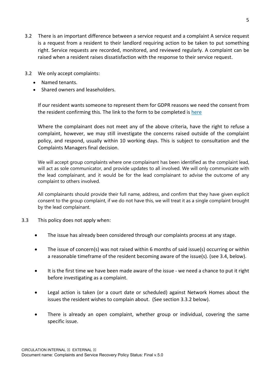- 3.2 There is an important difference between a service request and a complaint A service request is a request from a resident to their landlord requiring action to be taken to put something right. Service requests are recorded, monitored, and reviewed regularly. A complaint can be raised when a resident raises dissatisfaction with the response to their service request.
- 3.2 We only accept complaints:
	- Named tenants.
	- Shared owners and leaseholders.

If our resident wants someone to represent them for GDPR reasons we need the consent from the resident confirming this. The link to the form to be completed is here

Where the complainant does not meet any of the above criteria, have the right to refuse a complaint, however, we may still investigate the concerns raised outside of the complaint policy, and respond, usually within 10 working days. This is subject to consultation and the Complaints Managers final decision.

We will accept group complaints where one complainant has been identified as the complaint lead, will act as sole communicator, and provide updates to all involved. We will only communicate with the lead complainant, and it would be for the lead complainant to advise the outcome of any complaint to others involved.

All complainants should provide their full name, address, and confirm that they have given explicit consent to the group complaint, if we do not have this, we will treat it as a single complaint brought by the lead complainant.

- 3.3 This policy does not apply when:
	- The issue has already been considered through our complaints process at any stage.
	- The issue of concern(s) was not raised within 6 months of said issue(s) occurring or within a reasonable timeframe of the resident becoming aware of the issue(s). (see 3.4, below).
	- It is the first time we have been made aware of the issue we need a chance to put it right before investigating as a complaint.
	- Legal action is taken (or a court date or scheduled) against Network Homes about the issues the resident wishes to complain about. (See section 3.3.2 below).
	- There is already an open complaint, whether group or individual, covering the same specific issue.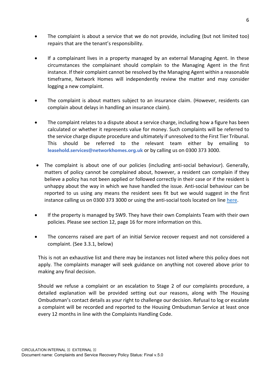- The complaint is about a service that we do not provide, including (but not limited too) repairs that are the tenant's responsibility.
- If a complainant lives in a property managed by an external Managing Agent. In these circumstances the complainant should complain to the Managing Agent in the first instance. If their complaint cannot be resolved by the Managing Agent within a reasonable timeframe, Network Homes will independently review the matter and may consider logging a new complaint.
- The complaint is about matters subject to an insurance claim. (However, residents can complain about delays in handling an insurance claim).
- The complaint relates to a dispute about a service charge, including how a figure has been calculated or whether it represents value for money. Such complaints will be referred to the service charge dispute procedure and ultimately if unresolved to the First Tier Tribunal. This should be referred to the relevant team either by emailing to **leasehold.services@networkhomes.org.uk** or by calling us on 0300 373 3000.
- The complaint is about one of our policies (including anti-social behaviour). Generally, matters of policy cannot be complained about, however, a resident can complain if they believe a policy has not been applied or followed correctly in their case or if the resident is unhappy about the way in which we have handled the issue. Anti-social behaviour can be reported to us using any means the resident sees fit but we would suggest in the first instance calling us on 0300 373 3000 or using the anti-social tools located on line [here.](https://www.networkhomes.org.uk/your-home/anti-social-behaviour-and-domestic-abuse/anti-social-behaviour/)
- If the property is managed by SW9. They have their own Complaints Team with their own policies. Please see section 12, page 16 for more information on this.
- The concerns raised are part of an initial Service recover request and not considered a complaint. (See 3.3.1, below)

This is not an exhaustive list and there may be instances not listed where this policy does not apply. The complaints manager will seek guidance on anything not covered above prior to making any final decision.

Should we refuse a complaint or an escalation to Stage 2 of our complaints procedure, a detailed explanation will be provided setting out our reasons, along with The Housing Ombudsman's contact details as your right to challenge our decision. Refusal to log or escalate a complaint will be recorded and reported to the Housing Ombudsman Service at least once every 12 months in line with the Complaints Handling Code.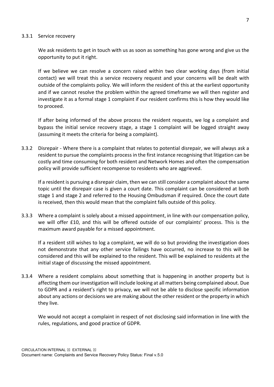#### 3.3.1 Service recovery

We ask residents to get in touch with us as soon as something has gone wrong and give us the opportunity to put it right.

If we believe we can resolve a concern raised within two clear working days (from initial contact) we will treat this a service recovery request and your concerns will be dealt with outside of the complaints policy. We will inform the resident of this at the earliest opportunity and if we cannot resolve the problem within the agreed timeframe we will then register and investigate it as a formal stage 1 complaint if our resident confirms this is how they would like to proceed.

If after being informed of the above process the resident requests, we log a complaint and bypass the initial service recovery stage, a stage 1 complaint will be logged straight away (assuming it meets the criteria for being a complaint).

3.3.2 Disrepair - Where there is a complaint that relates to potential disrepair, we will always ask a resident to pursue the complaints process in the first instance recognising that litigation can be costly and time consuming for both resident and Network Homes and often the compensation policy will provide sufficient recompense to residents who are aggrieved.

If a resident is pursuing a disrepair claim, then we can still consider a complaint about the same topic until the disrepair case is given a court date. This complaint can be considered at both stage 1 and stage 2 and referred to the Housing Ombudsman if required. Once the court date is received, then this would mean that the complaint falls outside of this policy.

3.3.3 Where a complaint is solely about a missed appointment, in line with our compensation policy, we will offer £10, and this will be offered outside of our complaints' process. This is the maximum award payable for a missed appointment.

If a resident still wishes to log a complaint, we will do so but providing the investigation does not demonstrate that any other service failings have occurred, no increase to this will be considered and this will be explained to the resident. This will be explained to residents at the initial stage of discussing the missed appointment.

3.3.4 Where a resident complains about something that is happening in another property but is affecting them our investigation will include looking at all matters being complained about. Due to GDPR and a resident's right to privacy, we will not be able to disclose specific information about any actions or decisions we are making about the other resident or the property in which they live.

We would not accept a complaint in respect of not disclosing said information in line with the rules, regulations, and good practice of GDPR.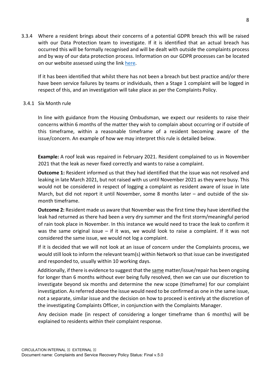3.3.4 Where a resident brings about their concerns of a potential GDPR breach this will be raised with our Data Protection team to investigate. If it is identified that an actual breach has occurred this will be formally recognised and will be dealt with outside the complaints process and by way of our data protection process. Information on our GDPR processes can be located on our website assessed using the lin[k here.](https://www.networkhomes.org.uk/data-protection/privacy-statement/)

If it has been identified that whilst there has not been a breach but best practice and/or there have been service failures by teams or individuals, then a Stage 1 complaint will be logged in respect of this, and an investigation will take place as per the Complaints Policy.

#### 3.4.1 Six Month rule

In line with guidance from the Housing Ombudsman, we expect our residents to raise their concerns within 6 months of the matter they wish to complain about occurring or if outside of this timeframe, within a reasonable timeframe of a resident becoming aware of the issue/concern. An example of how we may interpret this rule is detailed below.

**Example:** A roof leak was repaired in February 2021. Resident complained to us in November 2021 that the leak as never fixed correctly and wants to raise a complaint.

**Outcome 1:** Resident informed us that they had identified that the issue was not resolved and leaking in late March 2021, but not raised with us until November 2021 as they were busy. This would not be considered in respect of logging a complaint as resident aware of issue in late March, but did not report it until November, some 8 months later – and outside of the sixmonth timeframe.

**Outcome 2:** Resident made us aware that November was the first time they have identified the leak had returned as there had been a very dry summer and the first storm/meaningful period of rain took place in November. In this instance we would need to trace the leak to confirm it was the same original issue – if it was, we would look to raise a complaint. If it was not considered the same issue, we would not log a complaint.

If it is decided that we will not look at an issue of concern under the Complaints process, we would still look to inform the relevant team(s) within Network so that issue can be investigated and responded to, usually within 10 working days.

Additionally, if there is evidence to suggest that the same matter/issue/repair has been ongoing for longer than 6 months without ever being fully resolved, then we can use our discretion to investigate beyond six months and determine the new scope (timeframe) for our complaint investigation. As referred above the issue would need to be confirmed as one in the same issue, not a separate, similar issue and the decision on how to proceed is entirely at the discretion of the investigating Complaints Officer, in conjunction with the Complaints Manager.

Any decision made (in respect of considering a longer timeframe than 6 months) will be explained to residents within their complaint response.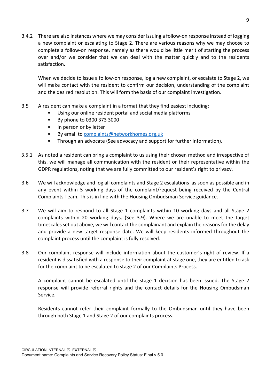3.4.2 There are also instances where we may consider issuing a follow-on response instead of logging a new complaint or escalating to Stage 2. There are various reasons why we may choose to complete a follow-on response, namely as there would be little merit of starting the process over and/or we consider that we can deal with the matter quickly and to the residents satisfaction.

When we decide to issue a follow-on response, log a new complaint, or escalate to Stage 2, we will make contact with the resident to confirm our decision, understanding of the complaint and the desired resolution. This will form the basis of our complaint investigation.

- 3.5 A resident can make a complaint in a format that they find easiest including:
	- Using our online resident portal and social media platforms
	- By phone to 0300 373 3000
	- In person or by letter
	- By email to [complaints@networkhomes.org.uk](mailto:complaints@networkhomes.org.uk)
	- Through an advocate (See advocacy and support for further information).
- 3.5.1 As noted a resident can bring a complaint to us using their chosen method and irrespective of this, we will manage all communication with the resident or their representative within the GDPR regulations, noting that we are fully committed to our resident's right to privacy.
- 3.6 We will acknowledge and log all complaints and Stage 2 escalations as soon as possible and in any event within 5 working days of the complaint/request being received by the Central Complaints Team. This is in line with the Housing Ombudsman Service guidance.
- 3.7 We will aim to respond to all Stage 1 complaints within 10 working days and all Stage 2 complaints within 20 working days. (See 3.9). Where we are unable to meet the target timescales set out above, we will contact the complainant and explain the reasons for the delay and provide a new target response date. We will keep residents informed throughout the complaint process until the complaint is fully resolved.
- 3.8 Our complaint response will include information about the customer's right of review. If a resident is dissatisfied with a response to their complaint at stage one, they are entitled to ask for the complaint to be escalated to stage 2 of our Complaints Process.

A complaint cannot be escalated until the stage 1 decision has been issued. The Stage 2 response will provide referral rights and the contact details for the Housing Ombudsman Service.

Residents cannot refer their complaint formally to the Ombudsman until they have been through both Stage 1 and Stage 2 of our complaints process.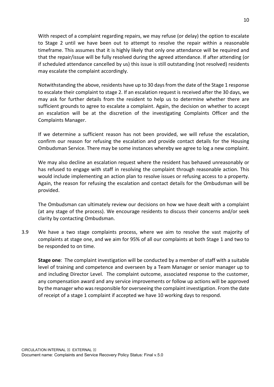With respect of a complaint regarding repairs, we may refuse (or delay) the option to escalate to Stage 2 until we have been out to attempt to resolve the repair within a reasonable timeframe. This assumes that it is highly likely that only one attendance will be required and that the repair/issue will be fully resolved during the agreed attendance. If after attending (or if scheduled attendance cancelled by us) this issue is still outstanding (not resolved) residents may escalate the complaint accordingly.

Notwithstanding the above, residents have up to 30 days from the date of the Stage 1 response to escalate their complaint to stage 2. If an escalation request is received after the 30 days, we may ask for further details from the resident to help us to determine whether there are sufficient grounds to agree to escalate a complaint. Again, the decision on whether to accept an escalation will be at the discretion of the investigating Complaints Officer and the Complaints Manager.

If we determine a sufficient reason has not been provided, we will refuse the escalation, confirm our reason for refusing the escalation and provide contact details for the Housing Ombudsman Service. There may be some instances whereby we agree to log a new complaint.

We may also decline an escalation request where the resident has behaved unreasonably or has refused to engage with staff in resolving the complaint through reasonable action. This would include implementing an action plan to resolve issues or refusing access to a property. Again, the reason for refusing the escalation and contact details for the Ombudsman will be provided.

The Ombudsman can ultimately review our decisions on how we have dealt with a complaint (at any stage of the process). We encourage residents to discuss their concerns and/or seek clarity by contacting Ombudsman.

3.9 We have a two stage complaints process, where we aim to resolve the vast majority of complaints at stage one, and we aim for 95% of all our complaints at both Stage 1 and two to be responded to on time.

**Stage one**: The complaint investigation will be conducted by a member of staff with a suitable level of training and competence and overseen by a Team Manager or senior manager up to and including Director Level. The complaint outcome, associated response to the customer, any compensation award and any service improvements or follow up actions will be approved by the manager who was responsible for overseeing the complaint investigation. From the date of receipt of a stage 1 complaint if accepted we have 10 working days to respond.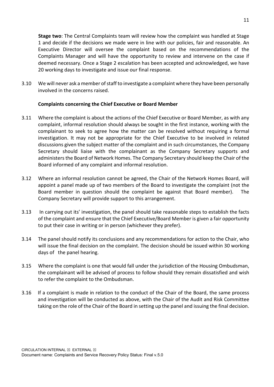**Stage two**: The Central Complaints team will review how the complaint was handled at Stage 1 and decide if the decisions we made were in line with our policies, fair and reasonable. An Executive Director will oversee the complaint based on the recommendations of the Complaints Manager and will have the opportunity to review and intervene on the case if deemed necessary. Once a Stage 2 escalation has been accepted and acknowledged, we have 20 working days to investigate and issue our final response.

3.10 We will never ask a member of staff to investigate a complaint where they have been personally involved in the concerns raised.

#### **Complaints concerning the Chief Executive or Board Member**

- 3.11 Where the complaint is about the actions of the Chief Executive or Board Member, as with any complaint, informal resolution should always be sought in the first instance, working with the complainant to seek to agree how the matter can be resolved without requiring a formal investigation. It may not be appropriate for the Chief Executive to be involved in related discussions given the subject matter of the complaint and in such circumstances, the Company Secretary should liaise with the complainant as the Company Secretary supports and administers the Board of Network Homes. The Company Secretary should keep the Chair of the Board informed of any complaint and informal resolution.
- 3.12 Where an informal resolution cannot be agreed, the Chair of the Network Homes Board, will appoint a panel made up of two members of the Board to investigate the complaint (not the Board member in question should the complaint be against that Board member). The Company Secretary will provide support to this arrangement.
- 3.13 In carrying out its' investigation, the panel should take reasonable steps to establish the facts of the complaint and ensure that the Chief Executive/Board Member is given a fair opportunity to put their case in writing or in person (whichever they prefer).
- 3.14 The panel should notify its conclusions and any recommendations for action to the Chair, who will issue the final decision on the complaint. The decision should be issued within 30 working days of the panel hearing.
- 3.15 Where the complaint is one that would fall under the jurisdiction of the Housing Ombudsman, the complainant will be advised of process to follow should they remain dissatisfied and wish to refer the complaint to the Ombudsman.
- 3.16 If a complaint is made in relation to the conduct of the Chair of the Board, the same process and investigation will be conducted as above, with the Chair of the Audit and Risk Committee taking on the role of the Chair of the Board in setting up the panel and issuing the final decision.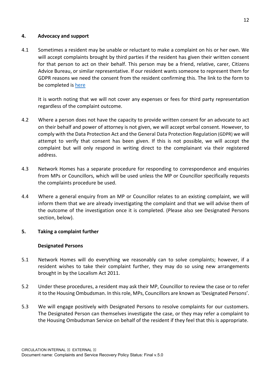#### **4. Advocacy and support**

4.1 Sometimes a resident may be unable or reluctant to make a complaint on his or her own. We will accept complaints brought by third parties if the resident has given their written consent for that person to act on their behalf. This person may be a friend, relative, carer, Citizens Advice Bureau, or similar representative. If our resident wants someone to represent them for GDPR reasons we need the consent from the resident confirming this. The link to the form to be completed is [here](https://forms.office.com/Pages/ResponsePage.aspx?id=iMv5LbqKPkamtvBWwyHdoaP2paii8-FNk-o_0AOSwB5UMFVBQlRUV1hEWllLN04wVVAxSFc4V0FHMS4u) 

It is worth noting that we will not cover any expenses or fees for third party representation regardless of the complaint outcome.

- 4.2 Where a person does not have the capacity to provide written consent for an advocate to act on their behalf and power of attorney is not given, we will accept verbal consent. However, to comply with the Data Protection Act and the General Data Protection Regulation (GDPR) we will attempt to verify that consent has been given. If this is not possible, we will accept the complaint but will only respond in writing direct to the complainant via their registered address.
- 4.3 Network Homes has a separate procedure for responding to correspondence and enquiries from MPs or Councillors, which will be used unless the MP or Councillor specifically requests the complaints procedure be used.
- 4.4 Where a general enquiry from an MP or Councillor relates to an existing complaint, we will inform them that we are already investigating the complaint and that we will advise them of the outcome of the investigation once it is completed. (Please also see Designated Persons section, below).

#### **5. Taking a complaint further**

#### **Designated Persons**

- 5.1 Network Homes will do everything we reasonably can to solve complaints; however, if a resident wishes to take their complaint further, they may do so using new arrangements brought in by the Localism Act 2011.
- 5.2 Under these procedures, a resident may ask their MP, Councillor to review the case or to refer it to the Housing Ombudsman. In this role, MPs, Councillors are known as 'Designated Persons'.
- 5.3 We will engage positively with Designated Persons to resolve complaints for our customers. The Designated Person can themselves investigate the case, or they may refer a complaint to the Housing Ombudsman Service on behalf of the resident if they feel that this is appropriate.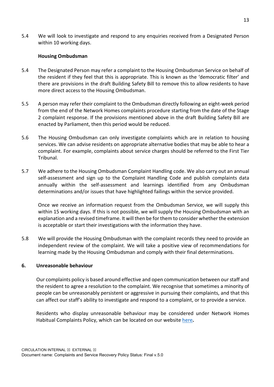5.4 We will look to investigate and respond to any enquiries received from a Designated Person within 10 working days.

#### **Housing Ombudsman**

- 5.4 The Designated Person may refer a complaint to the Housing Ombudsman Service on behalf of the resident if they feel that this is appropriate. This is known as the 'democratic filter' and there are provisions in the draft Building Safety Bill to remove this to allow residents to have more direct access to the Housing Ombudsman.
- 5.5 A person may refer their complaint to the Ombudsman directly following an eight-week period from the end of the Network Homes complaints procedure starting from the date of the Stage 2 complaint response. If the provisions mentioned above in the draft Building Safety Bill are enacted by Parliament, then this period would be reduced.
- 5.6 The Housing Ombudsman can only investigate complaints which are in relation to housing services. We can advise residents on appropriate alternative bodies that may be able to hear a complaint. For example, complaints about service charges should be referred to the First Tier Tribunal.
- 5.7 We adhere to the Housing Ombudsman Complaint Handling code. We also carry out an annual self-assessment and sign up to the Complaint Handling Code and publish complaints data annually within the self-assessment and learnings identified from any Ombudsman determinations and/or issues that have highlighted failings within the service provided.

Once we receive an information request from the Ombudsman Service, we will supply this within 15 working days. If this is not possible, we will supply the Housing Ombudsman with an explanation and a revised timeframe. It will then be for them to consider whether the extension is acceptable or start their investigations with the information they have.

5.8 We will provide the Housing Ombudsman with the complaint records they need to provide an independent review of the complaint. We will take a positive view of recommendations for learning made by the Housing Ombudsman and comply with their final determinations.

#### **6. Unreasonable behaviour**

Our complaints policy is based around effective and open communication between our staff and the resident to agree a resolution to the complaint. We recognise that sometimes a minority of people can be unreasonably persistent or aggressive in pursuing their complaints, and that this can affect our staff's ability to investigate and respond to a complaint, or to provide a service.

Residents who display unreasonable behaviour may be considered under Network Homes Habitual Complaints Policy, which can be located on our website [here](https://www.networkhomes.org.uk/media/13154/habitual-complaints-policy-march-2021.pdf)**.**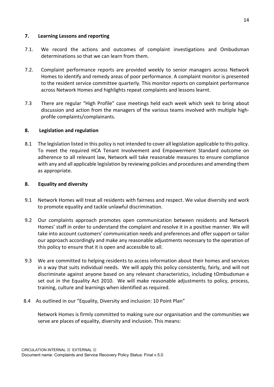#### **7. Learning Lessons and reporting**

- 7.1. We record the actions and outcomes of complaint investigations and Ombudsman determinations so that we can learn from them.
- 7.2. Complaint performance reports are provided weekly to senior managers across Network Homes to identify and remedy areas of poor performance. A complaint monitor is presented to the resident service committee quarterly. This monitor reports on complaint performance across Network Homes and highlights repeat complaints and lessons learnt.
- 7.3 There are regular "High Profile" case meetings held each week which seek to bring about discussion and action from the managers of the various teams involved with multiple highprofile complaints/complainants.

#### **8. Legislation and regulation**

8.1 The legislation listed in this policy is not intended to cover all legislation applicable to this policy. To meet the required HCA Tenant Involvement and Empowerment Standard outcome on adherence to all relevant law, Network will take reasonable measures to ensure compliance with any and all applicable legislation by reviewing policies and procedures and amending them as appropriate.

#### **8. Equality and diversity**

- 9.1 Network Homes will treat all residents with fairness and respect. We value diversity and work to promote equality and tackle unlawful discrimination.
- 9.2 Our complaints approach promotes open communication between residents and Network Homes' staff in order to understand the complaint and resolve it in a positive manner. We will take into account customers' communication needs and preferences and offer support or tailor our approach accordingly and make any reasonable adjustments necessary to the operation of this policy to ensure that it is open and accessible to all.
- 9.3 We are committed to helping residents to access information about their homes and services in a way that suits individual needs. We will apply this policy consistently, fairly, and will not discriminate against anyone based on any relevant characteristics, including tOmbudsman e set out in the Equality Act 2010. We will make reasonable adjustments to policy, process, training, culture and learnings when identified as required.
- 8.4 As outlined in our "Equality, Diversity and inclusion: 10 Point Plan"

Network Homes is firmly committed to making sure our organisation and the communities we serve are places of equality, diversity and inclusion. This means: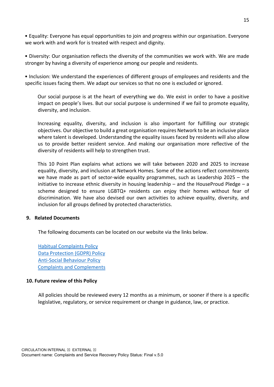• Equality: Everyone has equal opportunities to join and progress within our organisation. Everyone we work with and work for is treated with respect and dignity.

• Diversity: Our organisation reflects the diversity of the communities we work with. We are made stronger by having a diversity of experience among our people and residents.

• Inclusion: We understand the experiences of different groups of employees and residents and the specific issues facing them. We adapt our services so that no one is excluded or ignored.

Our social purpose is at the heart of everything we do. We exist in order to have a positive impact on people's lives. But our social purpose is undermined if we fail to promote equality, diversity, and inclusion.

Increasing equality, diversity, and inclusion is also important for fulfilling our strategic objectives. Our objective to build a great organisation requires Network to be an inclusive place where talent is developed. Understanding the equality issues faced by residents will also allow us to provide better resident service. And making our organisation more reflective of the diversity of residents will help to strengthen trust.

This 10 Point Plan explains what actions we will take between 2020 and 2025 to increase equality, diversity, and inclusion at Network Homes. Some of the actions reflect commitments we have made as part of sector-wide equality programmes, such as Leadership 2025 – the initiative to increase ethnic diversity in housing leadership – and the HouseProud Pledge – a scheme designed to ensure LGBTQ+ residents can enjoy their homes without fear of discrimination. We have also devised our own activities to achieve equality, diversity, and inclusion for all groups defined by protected characteristics.

#### **9. Related Documents**

The following documents can be located on our website via the links below.

[Habitual Complaints Policy](https://www.networkhomes.org.uk/media/13154/habitual-complaints-policy-march-2021.pdf)  [Data Protection \(GDPR\) Policy](https://www.networkhomes.org.uk/data-protection/privacy-statement/) [Anti-Social Behaviour Policy](https://www.networkhomes.org.uk/your-home/anti-social-behaviour-and-domestic-abuse/anti-social-behaviour/)  [Complaints and Complements](https://www.networkhomes.org.uk/complaints/) 

#### **10. Future review of this Policy**

All policies should be reviewed every 12 months as a minimum, or sooner if there is a specific legislative, regulatory, or service requirement or change in guidance, law, or practice.